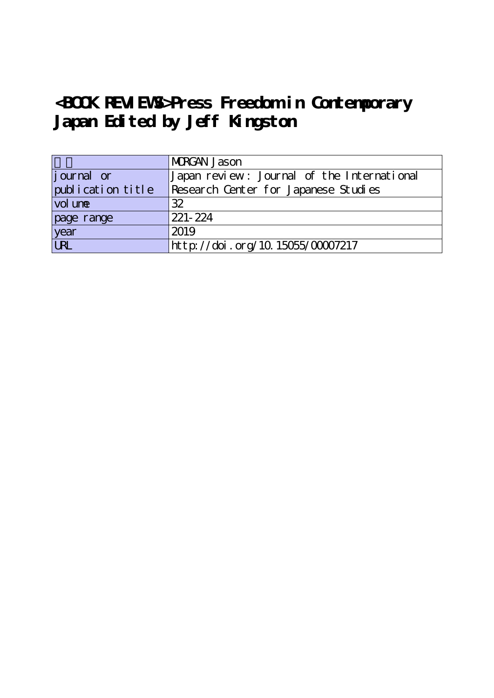## **<BOOK REVIEWS>Press Freedom in Contemporary Japan Edited by Jeff Kingston**

|                   | MRGAN Jason                                |
|-------------------|--------------------------------------------|
| journal or        | Japan review: Journal of the International |
| publication title | Research Center for Japanese Studies       |
| vol une           | 32                                         |
| page range        | 221-224                                    |
| year              | 2019                                       |
| URL               | http://doi.org/10.15055/00007217           |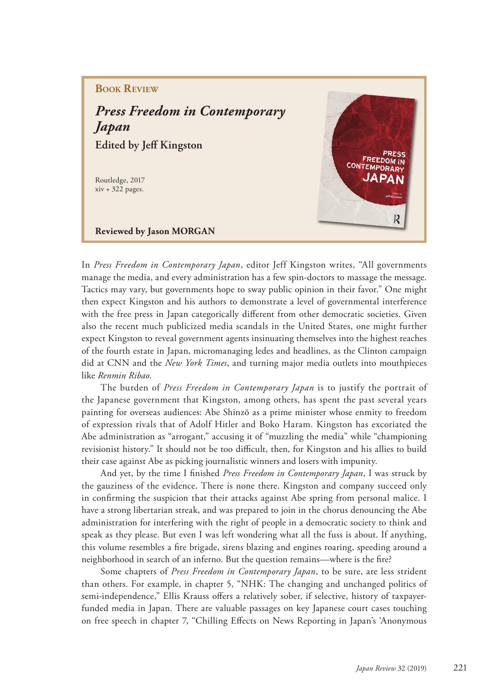## **BOOK REVIEW**

*Press Freedom in Contemporary Japan* **Edited by Jeff Kingston** 

Routledge, 2017 xiv + 322 pages.



**Reviewed by Jason MORGAN** 

In *Press Freedom in Contemporary Japan*, editor Jeff Kingston writes, "All governments manage the media, and every administration has a few spin-doctors to massage the message. Tactics may vary, but governments hope to sway public opinion in their favor." One might then expect Kingston and his authors to demonstrate a level of governmental interference with the free press in Japan categorically different from other democratic societies. Given also the recent much publicized media scandals in the United States, one might further expect Kingston to reveal government agents insinuating themselves into the highest reaches of the fourth estate in Japan, micromanaging ledes and headlines, as the Clinton campaign did at CNN and the *New York Times*, and turning major media outlets into mouthpieces like *Renmin Ribao*.

The burden of *Press Freedom in Contemporary Japan* is to justify the portrait of the Japanese government that Kingston, among others, has spent the past several years painting for overseas audiences: Abe Shinzō as a prime minister whose enmity to freedom of expression rivals that of Adolf Hitler and Boko Haram. Kingston has excoriated the Abe administration as "arrogant," accusing it of "muzzling the media" while "championing revisionist history." It should not be too difficult, then, for Kingston and his allies to build their case against Abe as picking journalistic winners and losers with impunity.

And yet, by the time I finished *Press Freedom in Contemporary Japan*, I was struck by the gauziness of the evidence. There is none there. Kingston and company succeed only in confirming the suspicion that their attacks against Abe spring from personal malice. I have a strong libertarian streak, and was prepared to join in the chorus denouncing the Abe administration for interfering with the right of people in a democratic society to think and speak as they please. But even I was left wondering what all the fuss is about. If anything, this volume resembles a fire brigade, sirens blazing and engines roaring, speeding around a neighborhood in search of an inferno. But the question remains—where is the fire?

Some chapters of *Press Freedom in Contemporary Japan*, to be sure, are less strident than others. For example, in chapter 5, "NHK: The changing and unchanged politics of semi-independence," Ellis Krauss offers a relatively sober, if selective, history of taxpayerfunded media in Japan. There are valuable passages on key Japanese court cases touching on free speech in chapter 7, "Chilling Effects on News Reporting in Japan's 'Anonymous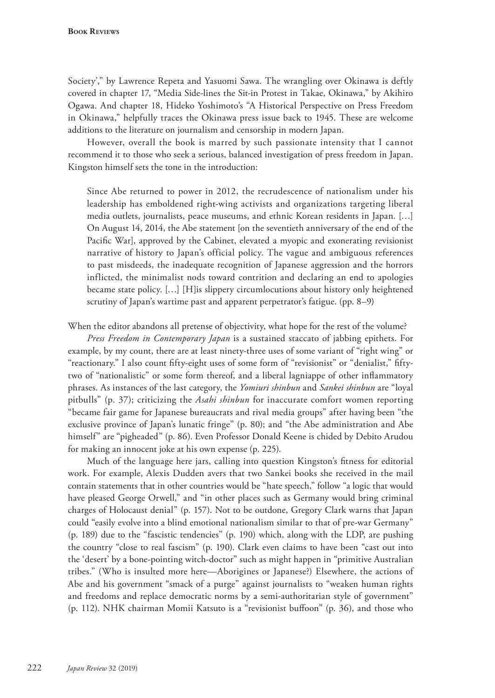Society'," by Lawrence Repeta and Yasuomi Sawa. The wrangling over Okinawa is deftly covered in chapter 17, "Media Side-lines the Sit-in Protest in Takae, Okinawa," by Akihiro Ogawa. And chapter 18, Hideko Yoshimoto's "A Historical Perspective on Press Freedom in Okinawa," helpfully traces the Okinawa press issue back to 1945. These are welcome additions to the literature on journalism and censorship in modern Japan.

However, overall the book is marred by such passionate intensity that I cannot recommend it to those who seek a serious, balanced investigation of press freedom in Japan. Kingston himself sets the tone in the introduction:

Since Abe returned to power in 2012, the recrudescence of nationalism under his leadership has emboldened right-wing activists and organizations targeting liberal media outlets, journalists, peace museums, and ethnic Korean residents in Japan. […] On August 14, 2014, the Abe statement [on the seventieth anniversary of the end of the Pacific War], approved by the Cabinet, elevated a myopic and exonerating revisionist narrative of history to Japan's official policy. The vague and ambiguous references to past misdeeds, the inadequate recognition of Japanese aggression and the horrors inflicted, the minimalist nods toward contrition and declaring an end to apologies became state policy. […] [H]is slippery circumlocutions about history only heightened scrutiny of Japan's wartime past and apparent perpetrator's fatigue. (pp. 8–9)

When the editor abandons all pretense of objectivity, what hope for the rest of the volume?

*Press Freedom in Contemporary Japan* is a sustained staccato of jabbing epithets. For example, by my count, there are at least ninety-three uses of some variant of "right wing" or "reactionary." I also count fifty-eight uses of some form of "revisionist" or "denialist," fiftytwo of "nationalistic" or some form thereof, and a liberal lagniappe of other inflammatory phrases. As instances of the last category, the *Yomiuri shinbun* and *Sankei shinbun* are "loyal pitbulls" (p. 37); criticizing the *Asahi shinbun* for inaccurate comfort women reporting "became fair game for Japanese bureaucrats and rival media groups" after having been "the exclusive province of Japan's lunatic fringe" (p. 80); and "the Abe administration and Abe himself" are "pigheaded" (p. 86). Even Professor Donald Keene is chided by Debito Arudou for making an innocent joke at his own expense (p. 225).

Much of the language here jars, calling into question Kingston's fitness for editorial work. For example, Alexis Dudden avers that two Sankei books she received in the mail contain statements that in other countries would be "hate speech," follow "a logic that would have pleased George Orwell," and "in other places such as Germany would bring criminal charges of Holocaust denial" (p. 157). Not to be outdone, Gregory Clark warns that Japan could "easily evolve into a blind emotional nationalism similar to that of pre-war Germany" (p. 189) due to the "fascistic tendencies" (p. 190) which, along with the LDP, are pushing the country "close to real fascism" (p. 190). Clark even claims to have been "cast out into the 'desert' by a bone-pointing witch-doctor" such as might happen in "primitive Australian tribes." (Who is insulted more here—Aborigines or Japanese?) Elsewhere, the actions of Abe and his government "smack of a purge" against journalists to "weaken human rights and freedoms and replace democratic norms by a semi-authoritarian style of government" (p. 112). NHK chairman Momii Katsuto is a "revisionist buffoon" (p. 36), and those who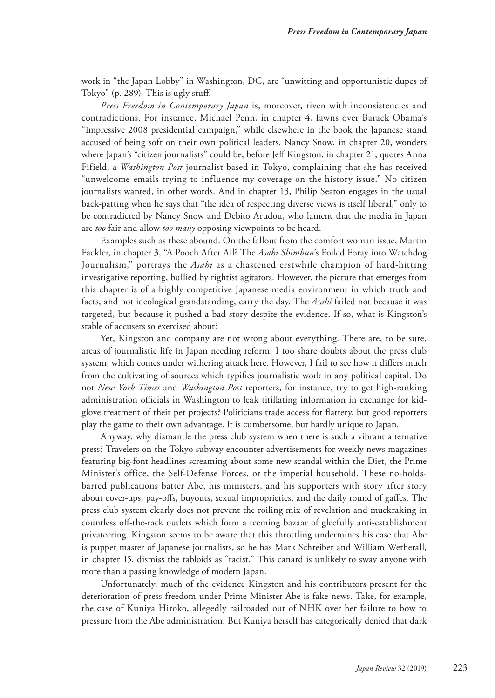work in "the Japan Lobby" in Washington, DC, are "unwitting and opportunistic dupes of Tokyo" (p. 289). This is ugly stuff.

*Press Freedom in Contemporary Japan* is, moreover, riven with inconsistencies and contradictions. For instance, Michael Penn, in chapter 4, fawns over Barack Obama's "impressive 2008 presidential campaign," while elsewhere in the book the Japanese stand accused of being soft on their own political leaders. Nancy Snow, in chapter 20, wonders where Japan's "citizen journalists" could be, before Jeff Kingston, in chapter 21, quotes Anna Fifield, a *Washington Post* journalist based in Tokyo, complaining that she has received "unwelcome emails trying to influence my coverage on the history issue." No citizen journalists wanted, in other words. And in chapter 13, Philip Seaton engages in the usual back-patting when he says that "the idea of respecting diverse views is itself liberal," only to be contradicted by Nancy Snow and Debito Arudou, who lament that the media in Japan are *too* fair and allow *too many* opposing viewpoints to be heard.

Examples such as these abound. On the fallout from the comfort woman issue, Martin Fackler, in chapter 3, "A Pooch After All? The *Asahi Shimbun*'s Foiled Foray into Watchdog Journalism," portrays the *Asahi* as a chastened erstwhile champion of hard-hitting investigative reporting, bullied by rightist agitators. However, the picture that emerges from this chapter is of a highly competitive Japanese media environment in which truth and facts, and not ideological grandstanding, carry the day. The *Asahi* failed not because it was targeted, but because it pushed a bad story despite the evidence. If so, what is Kingston's stable of accusers so exercised about?

Yet, Kingston and company are not wrong about everything. There are, to be sure, areas of journalistic life in Japan needing reform. I too share doubts about the press club system, which comes under withering attack here. However, I fail to see how it differs much from the cultivating of sources which typifies journalistic work in any political capital. Do not *New York Times* and *Washington Post* reporters, for instance, try to get high-ranking administration officials in Washington to leak titillating information in exchange for kidglove treatment of their pet projects? Politicians trade access for flattery, but good reporters play the game to their own advantage. It is cumbersome, but hardly unique to Japan.

Anyway, why dismantle the press club system when there is such a vibrant alternative press? Travelers on the Tokyo subway encounter advertisements for weekly news magazines featuring big-font headlines screaming about some new scandal within the Diet, the Prime Minister's office, the Self-Defense Forces, or the imperial household. These no-holdsbarred publications batter Abe, his ministers, and his supporters with story after story about cover-ups, pay-offs, buyouts, sexual improprieties, and the daily round of gaffes. The press club system clearly does not prevent the roiling mix of revelation and muckraking in countless off-the-rack outlets which form a teeming bazaar of gleefully anti-establishment privateering. Kingston seems to be aware that this throttling undermines his case that Abe is puppet master of Japanese journalists, so he has Mark Schreiber and William Wetherall, in chapter 15, dismiss the tabloids as "racist." This canard is unlikely to sway anyone with more than a passing knowledge of modern Japan.

Unfortunately, much of the evidence Kingston and his contributors present for the deterioration of press freedom under Prime Minister Abe is fake news. Take, for example, the case of Kuniya Hiroko, allegedly railroaded out of NHK over her failure to bow to pressure from the Abe administration. But Kuniya herself has categorically denied that dark